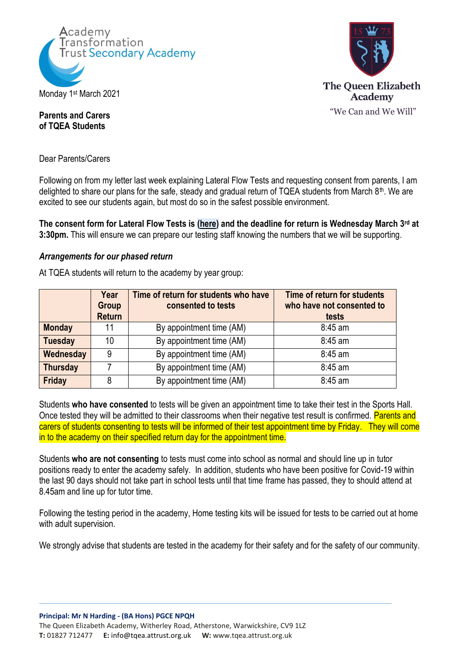



## **Parents and Carers of TQEA Students**

Dear Parents/Carers

Following on from my letter last week explaining Lateral Flow Tests and requesting consent from parents, I am delighted to share our plans for the safe, steady and gradual return of TQEA students from March 8<sup>th</sup>. We are excited to see our students again, but most do so in the safest possible environment.

**The consent form for Lateral Flow Tests is [\(here\)](https://docs.google.com/forms/d/e/1FAIpQLSeQ1EUsABBMflV1kB-THiruY2v8JvxGewoR0AWP7TMsVYq4yA/viewform?vc=0&c=0&w=1&flr=0&gxids=7628) and the deadline for return is Wednesday March 3rd at 3:30pm.** This will ensure we can prepare our testing staff knowing the numbers that we will be supporting.

### *Arrangements for our phased return*

At TQEA students will return to the academy by year group:

|                | Year<br>Group<br><b>Return</b> | Time of return for students who have<br>consented to tests | Time of return for students<br>who have not consented to<br>tests |  |
|----------------|--------------------------------|------------------------------------------------------------|-------------------------------------------------------------------|--|
| <b>Monday</b>  | 11                             | By appointment time (AM)                                   | 8:45 am                                                           |  |
| <b>Tuesday</b> | 10                             | By appointment time (AM)                                   | $8:45$ am                                                         |  |
| Wednesday      | 9                              | By appointment time (AM)                                   | $8:45$ am                                                         |  |
| Thursday       |                                | By appointment time (AM)                                   | $8:45$ am                                                         |  |
| <b>Friday</b>  | 8                              | By appointment time (AM)                                   | $8:45$ am                                                         |  |

Students **who have consented** to tests will be given an appointment time to take their test in the Sports Hall. Once tested they will be admitted to their classrooms when their negative test result is confirmed. Parents and carers of students consenting to tests will be informed of their test appointment time by Friday. They will come in to the academy on their specified return day for the appointment time.

Students **who are not consenting** to tests must come into school as normal and should line up in tutor positions ready to enter the academy safely. In addition, students who have been positive for Covid-19 within the last 90 days should not take part in school tests until that time frame has passed, they to should attend at 8.45am and line up for tutor time.

Following the testing period in the academy, Home testing kits will be issued for tests to be carried out at home with adult supervision.

We strongly advise that students are tested in the academy for their safety and for the safety of our community.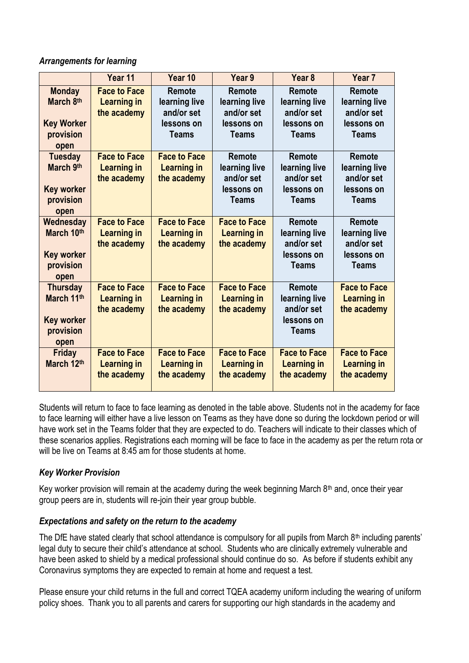#### *Arrangements for learning*

|                                                                         | Year 11                                                  | Year 10                                                             | Year <sub>9</sub>                                                   | Year <sub>8</sub>                                                          | Year <sub>7</sub>                                                          |
|-------------------------------------------------------------------------|----------------------------------------------------------|---------------------------------------------------------------------|---------------------------------------------------------------------|----------------------------------------------------------------------------|----------------------------------------------------------------------------|
| <b>Monday</b><br>March 8th<br><b>Key Worker</b><br>provision<br>open    | <b>Face to Face</b><br><b>Learning in</b><br>the academy | Remote<br>learning live<br>and/or set<br>lessons on<br><b>Teams</b> | Remote<br>learning live<br>and/or set<br>lessons on<br><b>Teams</b> | Remote<br>learning live<br>and/or set<br>lessons on<br><b>Teams</b>        | <b>Remote</b><br>learning live<br>and/or set<br>lessons on<br><b>Teams</b> |
| <b>Tuesday</b><br>March 9th<br><b>Key worker</b><br>provision<br>open   | <b>Face to Face</b><br><b>Learning in</b><br>the academy | <b>Face to Face</b><br><b>Learning in</b><br>the academy            | Remote<br>learning live<br>and/or set<br>lessons on<br><b>Teams</b> | <b>Remote</b><br>learning live<br>and/or set<br>lessons on<br><b>Teams</b> | <b>Remote</b><br>learning live<br>and/or set<br>lessons on<br><b>Teams</b> |
| Wednesday<br>March 10th<br><b>Key worker</b><br>provision<br>open       | <b>Face to Face</b><br><b>Learning in</b><br>the academy | <b>Face to Face</b><br><b>Learning in</b><br>the academy            | <b>Face to Face</b><br><b>Learning in</b><br>the academy            | <b>Remote</b><br>learning live<br>and/or set<br>lessons on<br><b>Teams</b> | <b>Remote</b><br>learning live<br>and/or set<br>lessons on<br><b>Teams</b> |
| <b>Thursday</b><br>March 11th<br><b>Key worker</b><br>provision<br>open | <b>Face to Face</b><br><b>Learning in</b><br>the academy | <b>Face to Face</b><br><b>Learning in</b><br>the academy            | <b>Face to Face</b><br><b>Learning in</b><br>the academy            | <b>Remote</b><br>learning live<br>and/or set<br>lessons on<br>Teams        | <b>Face to Face</b><br><b>Learning in</b><br>the academy                   |
| <b>Friday</b><br>March 12th                                             | <b>Face to Face</b><br><b>Learning in</b><br>the academy | <b>Face to Face</b><br><b>Learning in</b><br>the academy            | <b>Face to Face</b><br><b>Learning in</b><br>the academy            | <b>Face to Face</b><br><b>Learning in</b><br>the academy                   | <b>Face to Face</b><br><b>Learning in</b><br>the academy                   |

Students will return to face to face learning as denoted in the table above. Students not in the academy for face to face learning will either have a live lesson on Teams as they have done so during the lockdown period or will have work set in the Teams folder that they are expected to do. Teachers will indicate to their classes which of these scenarios applies. Registrations each morning will be face to face in the academy as per the return rota or will be live on Teams at 8:45 am for those students at home.

# *Key Worker Provision*

Key worker provision will remain at the academy during the week beginning March  $8<sup>th</sup>$  and, once their year group peers are in, students will re-join their year group bubble.

### *Expectations and safety on the return to the academy*

The DfE have stated clearly that school attendance is compulsory for all pupils from March  $8<sup>th</sup>$  including parents' legal duty to secure their child's attendance at school. Students who are clinically extremely vulnerable and have been asked to shield by a medical professional should continue do so. As before if students exhibit any Coronavirus symptoms they are expected to remain at home and request a test.

Please ensure your child returns in the full and correct TQEA academy uniform including the wearing of uniform policy shoes. Thank you to all parents and carers for supporting our high standards in the academy and